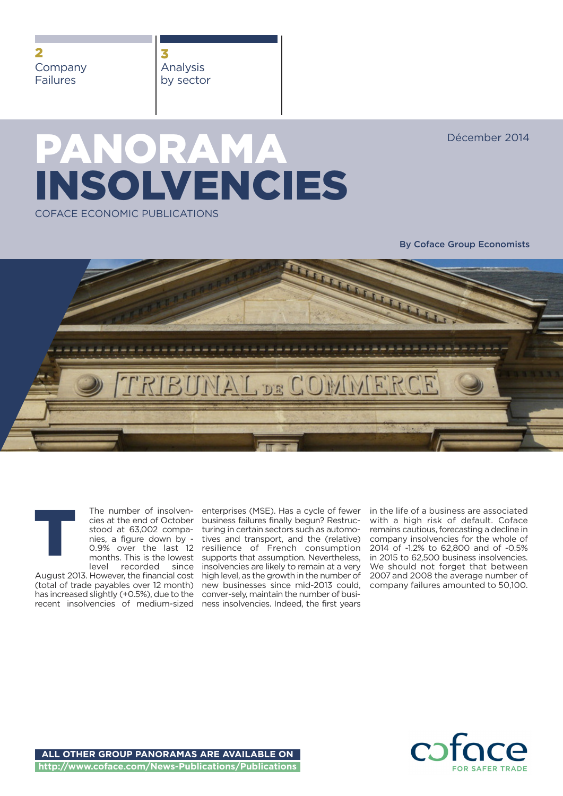**2** Company Failures

**3** Analysis by sector

Décember 2014

# **PANORAMA INSOLVENCIES** COFACE ECONOMIC PUBLICATIONS

**By Coface Group Economists**





August 2013. However, the financial cost high level, as the growth in the number of (total of trade payables over 12 month) has increased slightly (+0.5%), due to the recent insolvencies of medium-sized ness insolvencies. Indeed, the first years

enterprises (MSE). Has a cycle of fewer business failures finally begun? Restructuring in certain sectors such as automotives and transport, and the (relative) resilience of French consumption supports that assumption. Nevertheless, insolvencies are likely to remain at a very new businesses since mid-2013 could, conver-sely, maintain the number of busiin the life of a business are associated with a high risk of default. Coface remains cautious, forecasting a decline in company insolvencies for the whole of 2014 of -1.2% to 62,800 and of -0.5% in 2015 to 62,500 business insolvencies. We should not forget that between 2007 and 2008 the average number of company failures amounted to 50,100.

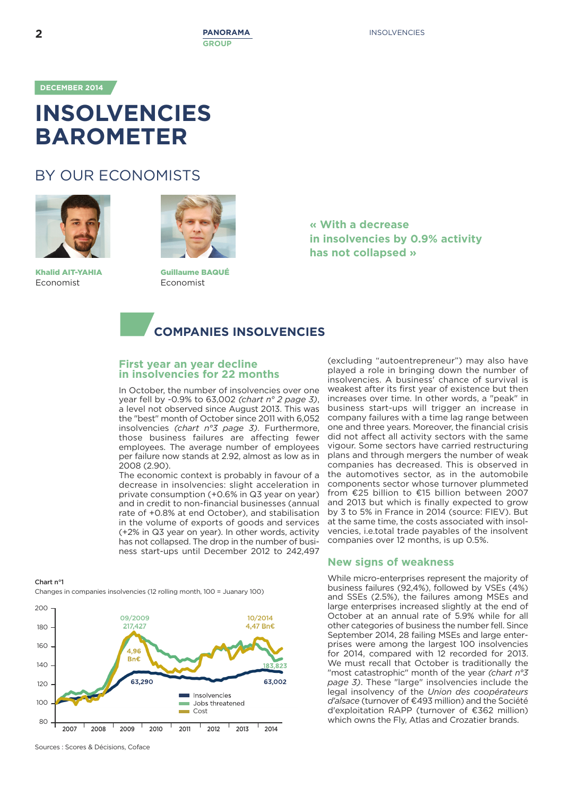**DECEMBER 2014**

# **INSOLVENCIES BAROMETER**

# BY OUR ECONOMISTS



**Khalid AIT-YAHIA** Economist



**Guillaume BAQUÉ** Economist

**« With a decrease in insolvencies by 0.9% activity has not collapsed »**



# **First year an year decline in insolvencies for 22 months**

In October, the number of insolvencies over one year fell by -0.9% to 63,002 *(chart n° 2 page 3)*, a level not observed since August 2013. This was the "best" month of October since 2011 with 6,052 insolvencies *(chart n°3 page 3)*. Furthermore, those business failures are affecting fewer employees. The average number of employees per failure now stands at 2.92, almost as low as in 2008 (2.90).

The economic context is probably in favour of a decrease in insolvencies: slight acceleration in private consumption (+0.6% in Q3 year on year) and in credit to non-financial businesses (annual rate of +0.8% at end October), and stabilisation in the volume of exports of goods and services (+2% in Q3 year on year). In other words, activity has not collapsed. The drop in the number of business start-ups until December 2012 to 242,497

#### **Chart n°1**

Changes in companies insolvencies (12 rolling month, 100 = Juanary 100)



(excluding "autoentrepreneur") may also have played a role in bringing down the number of insolvencies. A business' chance of survival is weakest after its first year of existence but then increases over time. In other words, a "peak" in business start-ups will trigger an increase in company failures with a time lag range between one and three years. Moreover, the financial crisis did not affect all activity sectors with the same vigour. Some sectors have carried restructuring plans and through mergers the number of weak companies has decreased. This is observed in the automotives sector, as in the automobile components sector whose turnover plummeted from €25 billion to €15 billion between 2007 and 2013 but which is finally expected to grow by 3 to 5% in France in 2014 (source: FIEV). But at the same time, the costs associated with insolvencies, i.e.total trade payables of the insolvent companies over 12 months, is up 0.5%.

# **New signs of weakness**

While micro-enterprises represent the majority of business failures (92,4%), followed by VSEs (4%) and SSEs (2.5%), the failures among MSEs and large enterprises increased slightly at the end of October at an annual rate of 5.9% while for all other categories of business the number fell. Since September 2014, 28 failing MSEs and large enterprises were among the largest 100 insolvencies for 2014, compared with 12 recorded for 2013. We must recall that October is traditionally the "most catastrophic" month of the year *(chart n°3 page 3)*. These "large" insolvencies include the legal insolvency of the *Union des coopérateurs d'alsace* (turnover of €493 million) and the Société d'exploitation RAPP (turnover of €362 million) which owns the Fly, Atlas and Crozatier brands.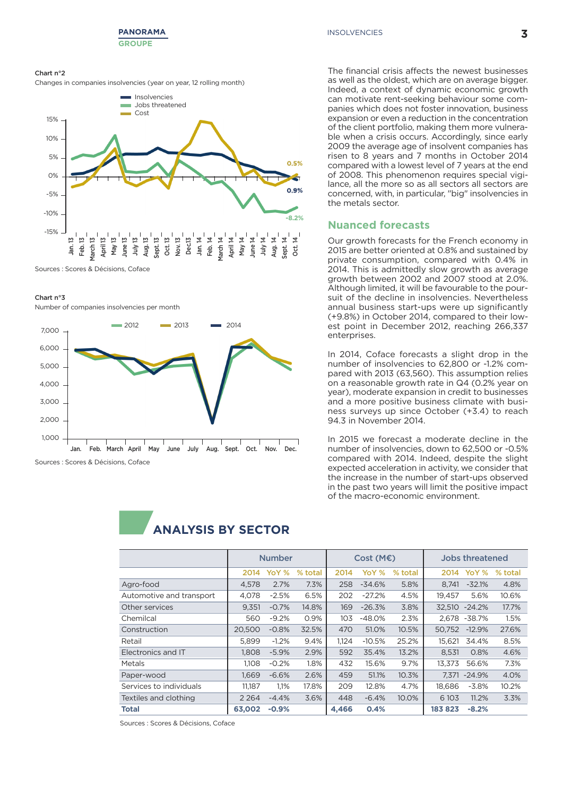

#### **Chart n°2**

Changes in companies insolvencies (year on year, 12 rolling month)



Sources : Scores & Décisions, Coface

#### **Chart n°3**

Number of companies insolvencies per month



The financial crisis affects the newest businesses as well as the oldest, which are on average bigger. Indeed, a context of dynamic economic growth can motivate rent-seeking behaviour some companies which does not foster innovation, business expansion or even a reduction in the concentration of the client portfolio, making them more vulnerable when a crisis occurs. Accordingly, since early 2009 the average age of insolvent companies has risen to 8 years and 7 months in October 2014 compared with a lowest level of 7 years at the end of 2008. This phenomenon requires special vigilance, all the more so as all sectors all sectors are concerned, with, in particular, "big" insolvencies in the metals sector.

# **Nuanced forecasts**

Our growth forecasts for the French economy in 2015 are better oriented at 0.8% and sustained by private consumption, compared with 0.4% in 2014. This is admittedly slow growth as average growth between 2002 and 2007 stood at 2.0%. Although limited, it will be favourable to the poursuit of the decline in insolvencies. Nevertheless annual business start-ups were up significantly (+9.8%) in October 2014, compared to their lowest point in December 2012, reaching 266,337 enterprises.

In 2014, Coface forecasts a slight drop in the number of insolvencies to 62,800 or -1.2% compared with 2013 (63,560). This assumption relies on a reasonable growth rate in Q4 (0.2% year on year), moderate expansion in credit to businesses and a more positive business climate with business surveys up since October (+3.4) to reach 94.3 in November 2014.

In 2015 we forecast a moderate decline in the number of insolvencies, down to 62,500 or -0.5% compared with 2014. Indeed, despite the slight expected acceleration in activity, we consider that the increase in the number of start-ups observed in the past two years will limit the positive impact of the macro-economic environment.



**ANALYSIS BY SECTOR 1**

Sources : Scores & Décisions, Coface